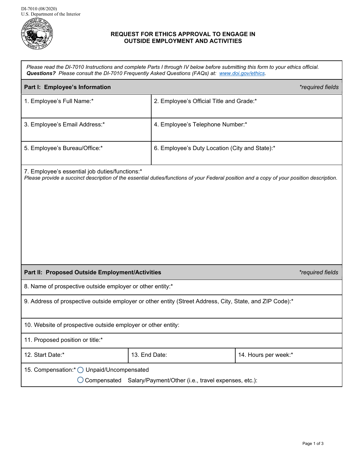

## **REQUEST FOR ETHICS APPROVAL TO ENGAGE IN OUTSIDE EMPLOYMENT AND ACTIVITIES**

*Please read the DI-7010 Instructions and complete Parts I through IV below before submitting this form to your ethics official. Questions? Please consult the DI-7010 Frequently Asked Questions (FAQs) at: [www.doi.gov/ethics.](http://www.doi.gov/ethics)*

| Part I: Employee's Information                                                                                                                                                              |                                                | *required fields     |  |  |
|---------------------------------------------------------------------------------------------------------------------------------------------------------------------------------------------|------------------------------------------------|----------------------|--|--|
| 1. Employee's Full Name:*                                                                                                                                                                   | 2. Employee's Official Title and Grade:*       |                      |  |  |
| 3. Employee's Email Address:*                                                                                                                                                               | 4. Employee's Telephone Number:*               |                      |  |  |
| 5. Employee's Bureau/Office:*                                                                                                                                                               | 6. Employee's Duty Location (City and State):* |                      |  |  |
| 7. Employee's essential job duties/functions:*<br>Please provide a succinct description of the essential duties/functions of your Federal position and a copy of your position description. |                                                |                      |  |  |
| Part II: Proposed Outside Employment/Activities                                                                                                                                             |                                                | *required fields     |  |  |
| 8. Name of prospective outside employer or other entity:*                                                                                                                                   |                                                |                      |  |  |
| 9. Address of prospective outside employer or other entity (Street Address, City, State, and ZIP Code):*                                                                                    |                                                |                      |  |  |
| 10. Website of prospective outside employer or other entity:                                                                                                                                |                                                |                      |  |  |
| 11. Proposed position or title:*                                                                                                                                                            |                                                |                      |  |  |
| 12. Start Date:*                                                                                                                                                                            | 13. End Date:                                  | 14. Hours per week:* |  |  |
| 15. Compensation:* O Unpaid/Uncompensated                                                                                                                                                   |                                                |                      |  |  |
| Compensated Salary/Payment/Other (i.e., travel expenses, etc.):                                                                                                                             |                                                |                      |  |  |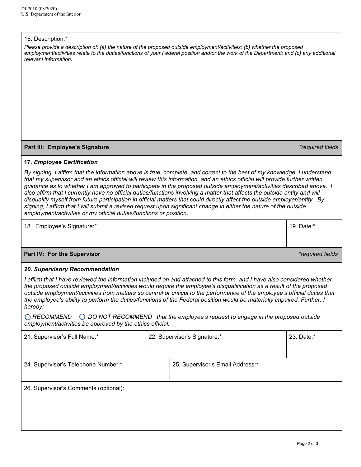## 16. Description:\*

| TO. Description:<br>Please provide a description of: (a) the nature of the proposed outside employment/activities; (b) whether the proposed<br>employment/activities relate to the duties/functions of your Federal position and/or the work of the Department; and (c) any additional<br>relevant information.<br>Part III: Employee's Signature<br>17. Employee Certification                                                                                                                                                                                                                                                                                                                                                                                                                                                         |                              |                                  | *required fields |  |  |
|-----------------------------------------------------------------------------------------------------------------------------------------------------------------------------------------------------------------------------------------------------------------------------------------------------------------------------------------------------------------------------------------------------------------------------------------------------------------------------------------------------------------------------------------------------------------------------------------------------------------------------------------------------------------------------------------------------------------------------------------------------------------------------------------------------------------------------------------|------------------------------|----------------------------------|------------------|--|--|
| By signing, I affirm that the information above is true, complete, and correct to the best of my knowledge. I understand<br>that my supervisor and an ethics official will review this information, and an ethics official will provide further written<br>guidance as to whether I am approved to participate in the proposed outside employment/activities described above. I<br>also affirm that I currently have no official duties/functions involving a matter that affects the outside entity and will<br>disqualify myself from future participation in official matters that could directly affect the outside employer/entity. By<br>signing, I affirm that I will submit a revised request upon significant change in either the nature of the outside<br>employment/activities or my official duties/functions or position. |                              |                                  |                  |  |  |
| 18. Employee's Signature:*                                                                                                                                                                                                                                                                                                                                                                                                                                                                                                                                                                                                                                                                                                                                                                                                              |                              |                                  | 19. Date:*       |  |  |
| Part IV: For the Supervisor                                                                                                                                                                                                                                                                                                                                                                                                                                                                                                                                                                                                                                                                                                                                                                                                             |                              |                                  | *required fields |  |  |
| 20. Supervisory Recommendation                                                                                                                                                                                                                                                                                                                                                                                                                                                                                                                                                                                                                                                                                                                                                                                                          |                              |                                  |                  |  |  |
| I affirm that I have reviewed the information included on and attached to this form, and I have also considered whether<br>the proposed outside employment/activities would require the employee's disqualification as a result of the proposed<br>outside employment/activities from matters so central or critical to the performance of the employee's official duties that<br>the employee's ability to perform the duties/functions of the Federal position would be materially impaired. Further, I<br>hereby:<br>◯ RECOMMEND<br>$\bigcirc$ DO NOT RECOMMEND that the employee's request to engage in the proposed outside<br>employment/activities be approved by the ethics official.                                                                                                                                           |                              |                                  |                  |  |  |
| 21. Supervisor's Full Name:*                                                                                                                                                                                                                                                                                                                                                                                                                                                                                                                                                                                                                                                                                                                                                                                                            | 22. Supervisor's Signature:* |                                  | 23. Date:*       |  |  |
| 24. Supervisor's Telephone Number:*                                                                                                                                                                                                                                                                                                                                                                                                                                                                                                                                                                                                                                                                                                                                                                                                     |                              | 25. Supervisor's Email Address:* |                  |  |  |
|                                                                                                                                                                                                                                                                                                                                                                                                                                                                                                                                                                                                                                                                                                                                                                                                                                         |                              |                                  |                  |  |  |